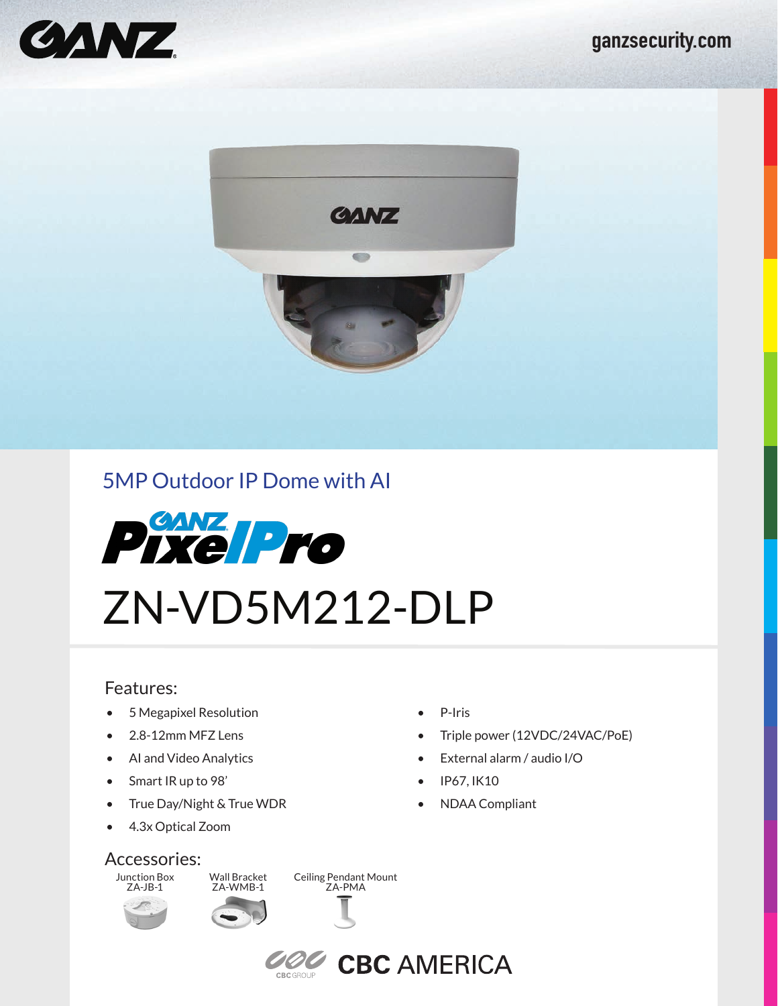



# 5MP Outdoor IP Dome with AI



### Features:

- 5 Megapixel Resolution
- 2.8-12mm MFZ Lens
- AI and Video Analytics
- Smart IR up to 98'
- True Day/Night & True WDR
- 4.3x Optical Zoom

### Accessories:

Junction Box ZA-JB-1



Ceiling Pendant Mount ZA-PMA



**COC CBC AMERICA** 

- P-Iris
- Triple power (12VDC/24VAC/PoE)
- External alarm / audio I/O
- IP67, IK10
- NDAA Compliant